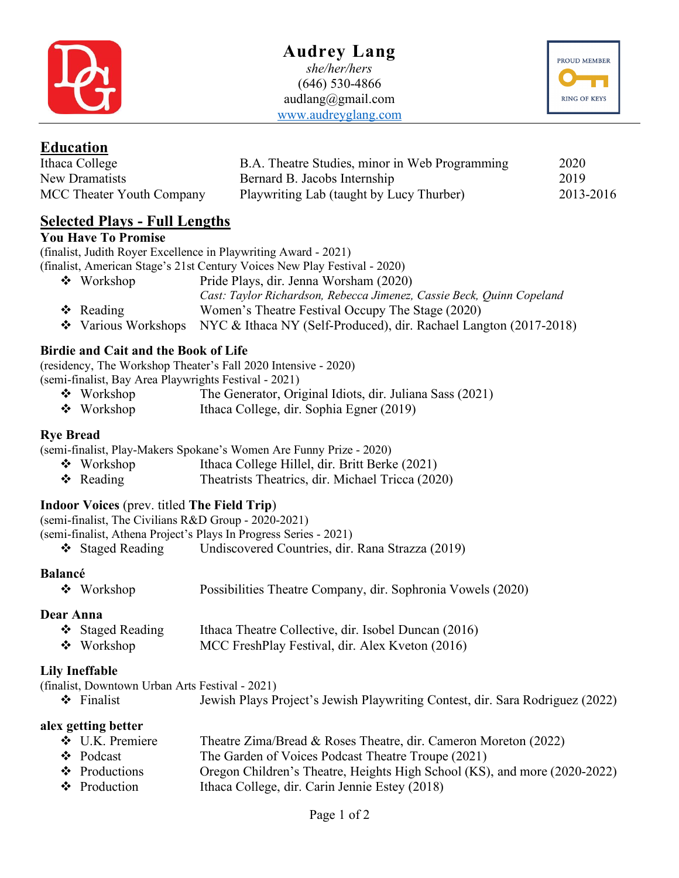

## **Audrey Lang** *she/her/hers* (646) 530-4866 audlang@gmail.com www.audreyglang.com



#### **Education** Ithaca College

| Ithaca College            | B.A. Theatre Studies, minor in Web Programming | 2020      |
|---------------------------|------------------------------------------------|-----------|
| New Dramatists            | Bernard B. Jacobs Internship                   | 2019      |
| MCC Theater Youth Company | Playwriting Lab (taught by Lucy Thurber)       | 2013-2016 |

# **Selected Plays - Full Lengths**

#### **You Have To Promise**

(finalist, Judith Royer Excellence in Playwriting Award - 2021)

(finalist, American Stage's 21st Century Voices New Play Festival - 2020)

- v Workshop Pride Plays, dir. Jenna Worsham (2020)
	- *Cast: Taylor Richardson, Rebecca Jimenez, Cassie Beck, Quinn Copeland*
- v Reading Women's Theatre Festival Occupy The Stage (2020)
- \* Various Workshops NYC & Ithaca NY (Self-Produced), dir. Rachael Langton (2017-2018)

### **Birdie and Cait and the Book of Life**

(residency, The Workshop Theater's Fall 2020 Intensive - 2020) (semi-finalist, Bay Area Playwrights Festival - 2021)

- $\bullet$  Workshop The Generator, Original Idiots, dir. Juliana Sass (2021)
- Workshop Ithaca College, dir. Sophia Egner (2019)

#### **Rye Bread**

(semi-finalist, Play-Makers Spokane's Women Are Funny Prize - 2020)

- Workshop Ithaca College Hillel, dir. Britt Berke (2021)
- v Reading Theatrists Theatrics, dir. Michael Tricca (2020)

## **Indoor Voices** (prev. titled **The Field Trip**)

(semi-finalist, The Civilians R&D Group - 2020-2021)

(semi-finalist, Athena Project's Plays In Progress Series - 2021)

v Staged Reading Undiscovered Countries, dir. Rana Strazza (2019)

#### **Balancé**

|  | $\bullet$ Workshop |  |  |  |  |  | Possibilities Theatre Company, dir. Sophronia Vowels (2020) |
|--|--------------------|--|--|--|--|--|-------------------------------------------------------------|
|--|--------------------|--|--|--|--|--|-------------------------------------------------------------|

#### **Dear Anna**

| ❖ Staged Reading | Ithaca Theatre Collective, dir. Isobel Duncan (2016) |
|------------------|------------------------------------------------------|
| $\div$ Workshop  | MCC FreshPlay Festival, dir. Alex Kveton (2016)      |

#### **Lily Ineffable**

| (finalist, Downtown Urban Arts Festival - 2021) |                                                                               |
|-------------------------------------------------|-------------------------------------------------------------------------------|
| $\div$ Finalist                                 | Jewish Plays Project's Jewish Playwriting Contest, dir. Sara Rodriguez (2022) |

#### **alex getting better**

| $\div$ U.K. Premiere | Theatre Zima/Bread & Roses Theatre, dir. Cameron Moreton (2022)           |
|----------------------|---------------------------------------------------------------------------|
| $\bullet$ Podcast    | The Garden of Voices Podcast Theatre Troupe (2021)                        |
| $\div$ Productions   | Oregon Children's Theatre, Heights High School (KS), and more (2020-2022) |
| $\div$ Production    | Ithaca College, dir. Carin Jennie Estey (2018)                            |